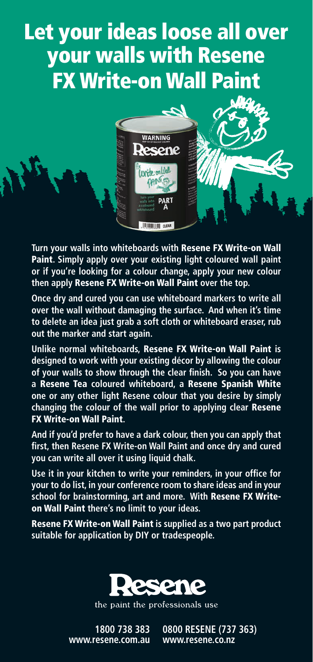## Let your ideas loose all over your walls with Resene FX Write-on Wall Paint



**Turn your walls into whiteboards with** Resene FX Write-on Wall Paint**. Simply apply over your existing light coloured wall paint or if you're looking for a colour change, apply your new colour then apply** Resene FX Write-on Wall Paint **over the top.**

**Once dry and cured you can use whiteboard markers to write all over the wall without damaging the surface. And when it's time to delete an idea just grab a soft cloth or whiteboard eraser, rub out the marker and start again.**

**Unlike normal whiteboards,** Resene FX Write-on Wall Paint **is designed to work with your existing décor by allowing the colour of your walls to show through the clear finish. So you can have a** Resene Tea **coloured whiteboard, a** Resene Spanish White **one or any other light Resene colour that you desire by simply changing the colour of the wall prior to applying clear** Resene FX Write-on Wall Paint**.** 

**And if you'd prefer to have a dark colour, then you can apply that first, then Resene FX Write-on Wall Paint and once dry and cured you can write all over it using liquid chalk.**

**Use it in your kitchen to write your reminders, in your office for your to do list, in your conference room to share ideas and in your school for brainstorming, art and more. With** Resene FX Writeon Wall Paint **there's no limit to your ideas.**

Resene FX Write-on Wall Paint **is supplied as a two part product suitable for application by DIY or tradespeople.**



the paint the professionals use

**1800 738 383 www.resene.com.au**  **0800 RESENE (737 363) www.resene.co.nz**